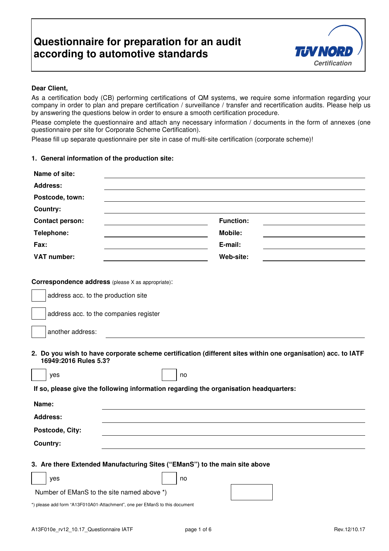

## **Dear Client,**

As a certification body (CB) performing certifications of QM systems, we require some information regarding your company in order to plan and prepare certification / surveillance / transfer and recertification audits. Please help us by answering the questions below in order to ensure a smooth certification procedure.

Please complete the questionnaire and attach any necessary information / documents in the form of annexes (one questionnaire per site for Corporate Scheme Certification).

Please fill up separate questionnaire per site in case of multi-site certification (corporate scheme)!

## **1. General information of the production site:**

| Name of site:                                                                         |                                                                                                              |
|---------------------------------------------------------------------------------------|--------------------------------------------------------------------------------------------------------------|
| <b>Address:</b>                                                                       |                                                                                                              |
| Postcode, town:                                                                       |                                                                                                              |
| Country:                                                                              |                                                                                                              |
| <b>Contact person:</b>                                                                | <b>Function:</b>                                                                                             |
| Telephone:                                                                            | Mobile:                                                                                                      |
| Fax:                                                                                  | E-mail:                                                                                                      |
| <b>VAT number:</b>                                                                    | Web-site:                                                                                                    |
| Correspondence address (please X as appropriate):                                     |                                                                                                              |
| address acc. to the production site                                                   |                                                                                                              |
| address acc. to the companies register                                                |                                                                                                              |
| another address:                                                                      |                                                                                                              |
| 16949:2016 Rules 5.3?                                                                 | 2. Do you wish to have corporate scheme certification (different sites within one organisation) acc. to IATF |
| yes                                                                                   | no                                                                                                           |
| If so, please give the following information regarding the organisation headquarters: |                                                                                                              |
| Name:                                                                                 |                                                                                                              |
| <b>Address:</b>                                                                       |                                                                                                              |
| Postcode, City:                                                                       |                                                                                                              |
| <b>Country:</b>                                                                       |                                                                                                              |
| 3. Are there Extended Manufacturing Sites ("EManS") to the main site above            |                                                                                                              |
| yes                                                                                   | no                                                                                                           |
| Number of EManS to the site named above *)                                            |                                                                                                              |
| *) please add form "A13F010A01-Attachment", one per EManS to this document            |                                                                                                              |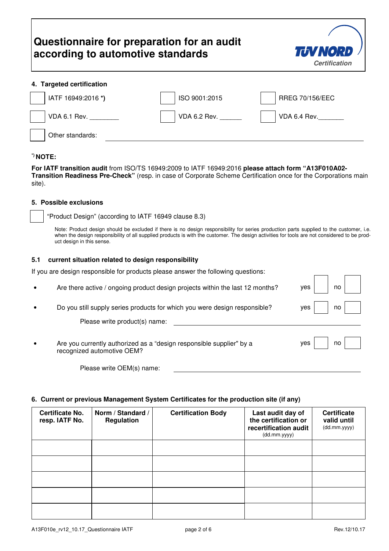

### **4. Targeted certification**

| IATF 16949:2016 *) | ISO 9001:2015 | RREG 70/156/EEC |
|--------------------|---------------|-----------------|
| VDA 6.1 Rev.       | VDA 6.2 Rev.  | VDA 6.4 Rev.    |
| Other standards:   |               |                 |

### **\*) NOTE:**

**For IATF transition audit** from ISO/TS 16949:2009 to IATF 16949:2016 **please attach form "A13F010A02- Transition Readiness Pre-Check"** (resp. in case of Corporate Scheme Certification once for the Corporations main site).

#### **5. Possible exclusions**

"Product Design" (according to IATF 16949 clause 8.3)

Note: Product design should be excluded if there is no design responsibility for series production parts supplied to the customer, i.e. when the design responsibility of all supplied products is with the customer. The design activities for tools are not considered to be product design in this sense.

#### **5.1 current situation related to design responsibility**

If you are design responsible for products please answer the following questions:

| $\bullet$ | Are there active / ongoing product design projects within the last 12 months?                      | no<br>ves |
|-----------|----------------------------------------------------------------------------------------------------|-----------|
|           | Do you still supply series products for which you were design responsible?                         | ves<br>no |
|           | Please write product(s) name:                                                                      |           |
| $\bullet$ | Are you currently authorized as a "design responsible supplier" by a<br>recognized automotive OEM? | yes<br>no |
|           | Please write OEM(s) name:                                                                          |           |

#### **6. Current or previous Management System Certificates for the production site (if any)**

| <b>Certificate No.</b><br>resp. IATF No. | Norm / Standard /<br>Regulation | <b>Certification Body</b> | Last audit day of<br>the certification or<br>recertification audit<br>(dd.mm.yyyy) | <b>Certificate</b><br>valid until<br>(dd.mm.yyyy) |
|------------------------------------------|---------------------------------|---------------------------|------------------------------------------------------------------------------------|---------------------------------------------------|
|                                          |                                 |                           |                                                                                    |                                                   |
|                                          |                                 |                           |                                                                                    |                                                   |
|                                          |                                 |                           |                                                                                    |                                                   |
|                                          |                                 |                           |                                                                                    |                                                   |
|                                          |                                 |                           |                                                                                    |                                                   |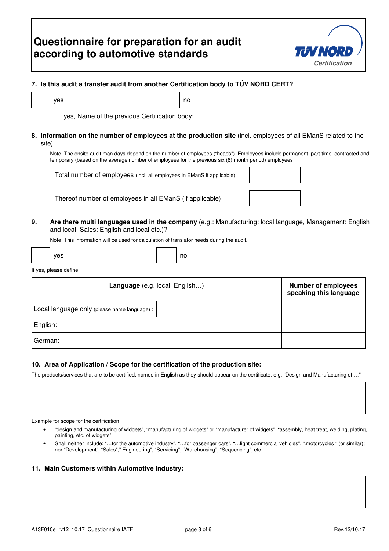

## **7. Is this audit a transfer audit from another Certification body to TÜV NORD CERT?**

| ves                                             | no |
|-------------------------------------------------|----|
| If yes Name of the previous Certification body: |    |

If yes, Name of the previous Certification body:

**8. Information on the number of employees at the production site** (incl. employees of all EManS related to the site)

Note: The onsite audit man days depend on the number of employees ("heads"). Employees include permanent, part-time, contracted and temporary (based on the average number of employees for the previous six (6) month period) employees

Total number of employees (incl. all employees in EManS if applicable)

Thereof number of employees in all EManS (if applicable)

**9. Are there multi languages used in the company** (e.g.: Manufacturing: local language, Management: English and local, Sales: English and local etc.)?

Note: This information will be used for calculation of translator needs during the audit.

|  | yes |  | no |
|--|-----|--|----|
|--|-----|--|----|

If yes, please define:

| Language (e.g. local, English)               | <b>Number of employees</b><br>speaking this language |
|----------------------------------------------|------------------------------------------------------|
| Local language only (please name language) : |                                                      |
| English:                                     |                                                      |
| German:                                      |                                                      |

### **10. Area of Application / Scope for the certification of the production site:**

The products/services that are to be certified, named in English as they should appear on the certificate, e.g. "Design and Manufacturing of …"

Example for scope for the certification:

- "design and manufacturing of widgets", "manufacturing of widgets" or "manufacturer of widgets", "assembly, heat treat, welding, plating, painting, etc. of widgets"
- Shall neither include: "...for the automotive industry", "...for passenger cars", "...light commercial vehicles", ".motorcycles " (or similar); nor "Development", "Sales"," Engineering", "Servicing", "Warehousing", "Sequencing", etc.

#### **11. Main Customers within Automotive Industry:**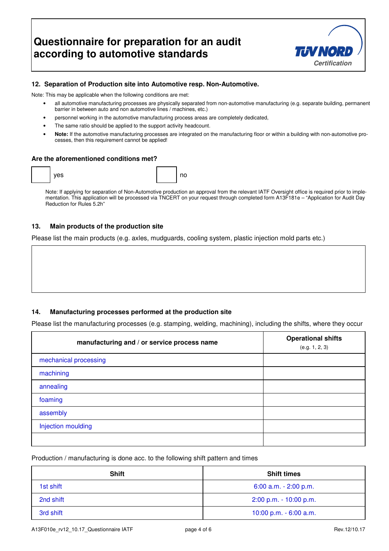

## **12. Separation of Production site into Automotive resp. Non-Automotive.**

Note: This may be applicable when the following conditions are met:

- all automotive manufacturing processes are physically separated from non-automotive manufacturing (e.g. separate building, permanent barrier in between auto and non automotive lines / machines, etc.)
- personnel working in the automotive manufacturing process areas are completely dedicated,
- The same ratio should be applied to the support activity headcount.
- **Note:** If the automotive manufacturing processes are integrated on the manufacturing floor or within a building with non-automotive processes, then this requirement cannot be applied!

#### **Are the aforementioned conditions met?**

|  | yes |  | $\sim$<br>. |
|--|-----|--|-------------|
|--|-----|--|-------------|

Note: If applying for separation of Non-Automotive production an approval from the relevant IATF Oversight office is required prior to implementation. This application will be processed via TNCERT on your request through completed form A13F181e – "Application for Audit Day Reduction for Rules 5.2h"

### **13. Main products of the production site**

Please list the main products (e.g. axles, mudguards, cooling system, plastic injection mold parts etc.)

#### **14. Manufacturing processes performed at the production site**

Please list the manufacturing processes (e.g. stamping, welding, machining), including the shifts, where they occur

| manufacturing and / or service process name | <b>Operational shifts</b><br>(e.g. 1, 2, 3) |
|---------------------------------------------|---------------------------------------------|
| mechanical processing                       |                                             |
| machining                                   |                                             |
| annealing                                   |                                             |
| foaming                                     |                                             |
| assembly                                    |                                             |
| Injection moulding                          |                                             |
|                                             |                                             |

Production / manufacturing is done acc. to the following shift pattern and times

| <b>Shift</b> | <b>Shift times</b>        |
|--------------|---------------------------|
| 1st shift    | $6:00$ a.m. $-2:00$ p.m.  |
| 2nd shift    | $2:00$ p.m. $-10:00$ p.m. |
| 3rd shift    | 10:00 p.m. - 6:00 a.m.    |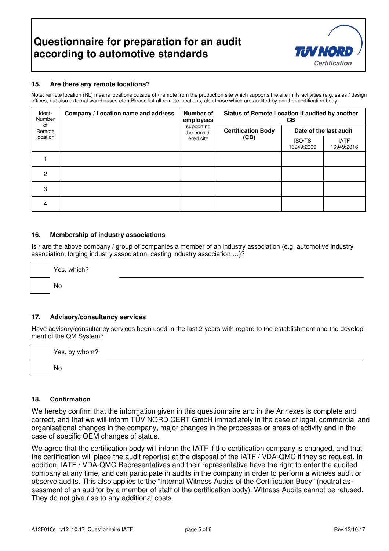

### **15. Are there any remote locations?**

Note: remote location (RL) means locations outside of / remote from the production site which supports the site in its activities (e.g. sales / design offices, but also external warehouses etc.) Please list all remote locations, also those which are audited by another certification body.

| Ident-<br>Number<br>of<br>Remote | Company / Location name and address | Number of<br>employees<br>supporting<br>the consid- | Status of Remote Location if audited by another<br><b>CB</b> |                             |                           |
|----------------------------------|-------------------------------------|-----------------------------------------------------|--------------------------------------------------------------|-----------------------------|---------------------------|
|                                  |                                     |                                                     | <b>Certification Body</b><br>(CB)                            | Date of the last audit      |                           |
| location                         |                                     | ered site                                           |                                                              | <b>ISO/TS</b><br>16949:2009 | <b>IATF</b><br>16949:2016 |
|                                  |                                     |                                                     |                                                              |                             |                           |
| 2                                |                                     |                                                     |                                                              |                             |                           |
| 3                                |                                     |                                                     |                                                              |                             |                           |
| 4                                |                                     |                                                     |                                                              |                             |                           |

### **16. Membership of industry associations**

Is / are the above company / group of companies a member of an industry association (e.g. automotive industry association, forging industry association, casting industry association …)?

| Yes, |
|------|
| No   |

#### **17. Advisory/consultancy services**

which?

Have advisory/consultancy services been used in the last 2 years with regard to the establishment and the development of the QM System?

| Yes, by whom? |  |  |
|---------------|--|--|
| No            |  |  |

#### **18. Confirmation**

We hereby confirm that the information given in this questionnaire and in the Annexes is complete and correct, and that we will inform TÜV NORD CERT GmbH immediately in the case of legal, commercial and organisational changes in the company, major changes in the processes or areas of activity and in the case of specific OEM changes of status.

We agree that the certification body will inform the IATF if the certification company is changed, and that the certification will place the audit report(s) at the disposal of the IATF / VDA-QMC if they so request. In addition, IATF / VDA-QMC Representatives and their representative have the right to enter the audited company at any time, and can participate in audits in the company in order to perform a witness audit or observe audits. This also applies to the "Internal Witness Audits of the Certification Body" (neutral assessment of an auditor by a member of staff of the certification body). Witness Audits cannot be refused. They do not give rise to any additional costs.